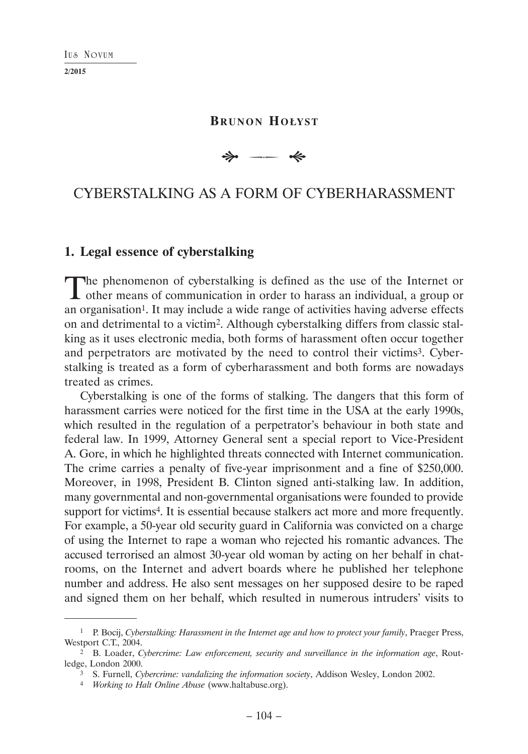| IUS | Noviim |
|-----|--------|
|-----|--------|

# **BRUNON HOŁYST**

 $\Rightarrow$  $\overline{\phantom{a}}$ 

# CYBERSTALKING AS A FORM OF CYBERHARASSMENT

# **1. Legal essence of cyberstalking**

The phenomenon of cyberstalking is defined as the use of the Internet or **L** other means of communication in order to harass an individual, a group or an organisation<sup>1</sup>. It may include a wide range of activities having adverse effects on and detrimental to a victim2. Although cyberstalking differs from classic stalking as it uses electronic media, both forms of harassment often occur together and perpetrators are motivated by the need to control their victims3. Cyberstalking is treated as a form of cyberharassment and both forms are nowadays treated as crimes.

Cyberstalking is one of the forms of stalking. The dangers that this form of harassment carries were noticed for the first time in the USA at the early 1990s, which resulted in the regulation of a perpetrator's behaviour in both state and federal law. In 1999, Attorney General sent a special report to Vice-President A. Gore, in which he highlighted threats connected with Internet communication. The crime carries a penalty of five-year imprisonment and a fine of \$250,000. Moreover, in 1998, President B. Clinton signed anti-stalking law. In addition, many governmental and non-governmental organisations were founded to provide support for victims<sup>4</sup>. It is essential because stalkers act more and more frequently. For example, a 50-year old security guard in California was convicted on a charge of using the Internet to rape a woman who rejected his romantic advances. The accused terrorised an almost 30-year old woman by acting on her behalf in chatrooms, on the Internet and advert boards where he published her telephone number and address. He also sent messages on her supposed desire to be raped and signed them on her behalf, which resulted in numerous intruders' visits to

<sup>1</sup> P. Bocij, *Cyberstalking: Harassment in the Internet age and how to protect your family*, Praeger Press, Westport C.T., 2004.

<sup>2</sup> B. Loader, *Cybercrime: Law enforcement, security and surveillance in the information age*, Routledge, London 2000.

<sup>3</sup> S. Furnell, *Cybercrime: vandalizing the information society*, Addison Wesley, London 2002.

<sup>4</sup> *Working to Halt Online Abuse* (www.haltabuse.org).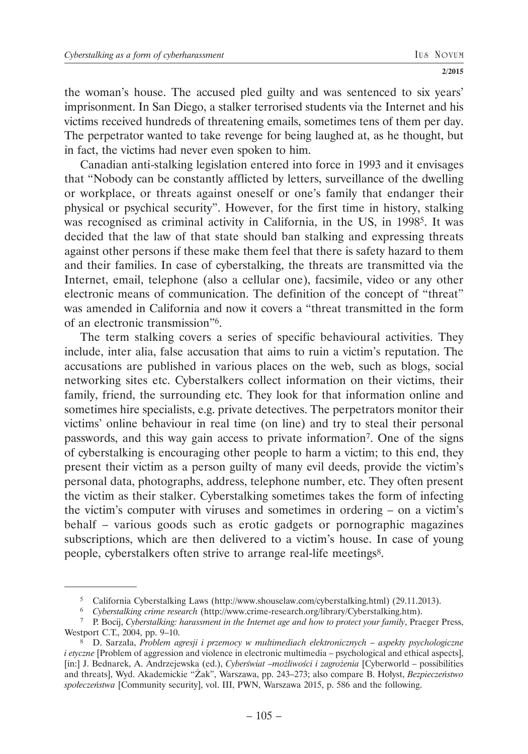the woman's house. The accused pled guilty and was sentenced to six years' imprisonment. In San Diego, a stalker terrorised students via the Internet and his victims received hundreds of threatening emails, sometimes tens of them per day. The perpetrator wanted to take revenge for being laughed at, as he thought, but in fact, the victims had never even spoken to him.

Canadian anti-stalking legislation entered into force in 1993 and it envisages that "Nobody can be constantly afflicted by letters, surveillance of the dwelling or workplace, or threats against oneself or one's family that endanger their physical or psychical security". However, for the first time in history, stalking was recognised as criminal activity in California, in the US, in 1998<sup>5</sup>. It was decided that the law of that state should ban stalking and expressing threats against other persons if these make them feel that there is safety hazard to them and their families. In case of cyberstalking, the threats are transmitted via the Internet, email, telephone (also a cellular one), facsimile, video or any other electronic means of communication. The definition of the concept of "threat" was amended in California and now it covers a "threat transmitted in the form of an electronic transmission"6.

The term stalking covers a series of specific behavioural activities. They include, inter alia, false accusation that aims to ruin a victim's reputation. The accusations are published in various places on the web, such as blogs, social networking sites etc. Cyberstalkers collect information on their victims, their family, friend, the surrounding etc. They look for that information online and sometimes hire specialists, e.g. private detectives. The perpetrators monitor their victims' online behaviour in real time (on line) and try to steal their personal passwords, and this way gain access to private information7. One of the signs of cyberstalking is encouraging other people to harm a victim; to this end, they present their victim as a person guilty of many evil deeds, provide the victim's personal data, photographs, address, telephone number, etc. They often present the victim as their stalker. Cyberstalking sometimes takes the form of infecting the victim's computer with viruses and sometimes in ordering – on a victim's behalf – various goods such as erotic gadgets or pornographic magazines subscriptions, which are then delivered to a victim's house. In case of young people, cyberstalkers often strive to arrange real-life meetings8.

<sup>5</sup> California Cyberstalking Laws (http://www.shouselaw.com/cyberstalking.html) (29.11.2013).

<sup>6</sup> *Cyberstalking crime research* (http://www.crime-research.org/library/Cyberstalking.htm).

<sup>7</sup> P. Bocij, *Cyberstalking: harassment in the Internet age and how to protect your family*, Praeger Press, Westport C.T., 2004, pp. 9–10.

<sup>8</sup> D. Sarzała, *Problem agresji i przemocy w multimediach elektronicznych – aspekty psychologiczne i etyczne* [Problem of aggression and violence in electronic multimedia – psychological and ethical aspects], [in:] J. Bednarek, A. Andrzejewska (ed.), *Cyberświat –możliwości i zagrożenia* [Cyberworld – possibilities and threats], Wyd. Akademickie "Żak", Warszawa, pp. 243–273; also compare B. Hołyst, *Bezpieczeństwo społeczeństwa* [Community security], vol. III, PWN, Warszawa 2015, p. 586 and the following.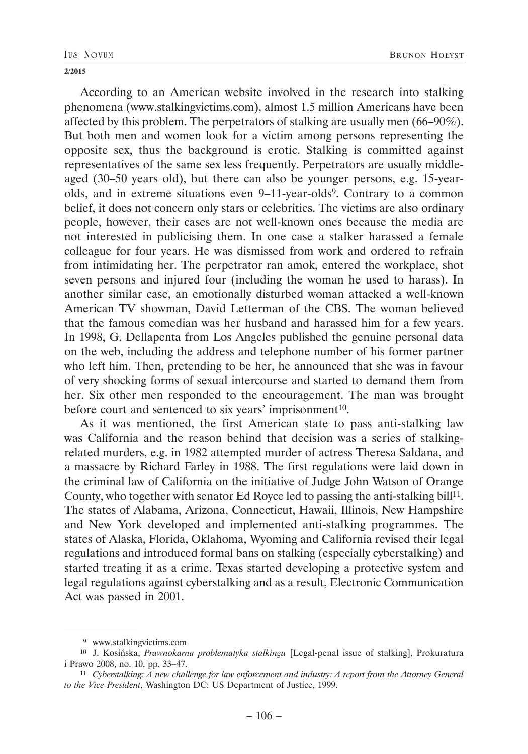#### BRUNON HOŁYST

#### **2/2015**

According to an American website involved in the research into stalking phenomena (www.stalkingvictims.com), almost 1.5 million Americans have been affected by this problem. The perpetrators of stalking are usually men (66–90%). But both men and women look for a victim among persons representing the opposite sex, thus the background is erotic. Stalking is committed against representatives of the same sex less frequently. Perpetrators are usually middleaged (30–50 years old), but there can also be younger persons, e.g. 15-yearolds, and in extreme situations even 9–11-year-olds<sup>9</sup>. Contrary to a common belief, it does not concern only stars or celebrities. The victims are also ordinary people, however, their cases are not well-known ones because the media are not interested in publicising them. In one case a stalker harassed a female colleague for four years. He was dismissed from work and ordered to refrain from intimidating her. The perpetrator ran amok, entered the workplace, shot seven persons and injured four (including the woman he used to harass). In another similar case, an emotionally disturbed woman attacked a well-known American TV showman, David Letterman of the CBS. The woman believed that the famous comedian was her husband and harassed him for a few years. In 1998, G. Dellapenta from Los Angeles published the genuine personal data on the web, including the address and telephone number of his former partner who left him. Then, pretending to be her, he announced that she was in favour of very shocking forms of sexual intercourse and started to demand them from her. Six other men responded to the encouragement. The man was brought before court and sentenced to six years' imprisonment<sup>10</sup>.

As it was mentioned, the first American state to pass anti-stalking law was California and the reason behind that decision was a series of stalkingrelated murders, e.g. in 1982 attempted murder of actress Theresa Saldana, and a massacre by Richard Farley in 1988. The first regulations were laid down in the criminal law of California on the initiative of Judge John Watson of Orange County, who together with senator Ed Royce led to passing the anti-stalking bill<sup>11</sup>. The states of Alabama, Arizona, Connecticut, Hawaii, Illinois, New Hampshire and New York developed and implemented anti-stalking programmes. The states of Alaska, Florida, Oklahoma, Wyoming and California revised their legal regulations and introduced formal bans on stalking (especially cyberstalking) and started treating it as a crime. Texas started developing a protective system and legal regulations against cyberstalking and as a result, Electronic Communication Act was passed in 2001.

 <sup>9</sup> www.stalkingvictims.com

<sup>10</sup> J. Kosińska, *Prawnokarna problematyka stalkingu* [Legal-penal issue of stalking], Prokuratura i Prawo 2008, no. 10, pp. 33–47.

<sup>11</sup> *Cyberstalking: A new challenge for law enforcement and industry: A report from the Attorney General to the Vice President*, Washington DC: US Department of Justice, 1999.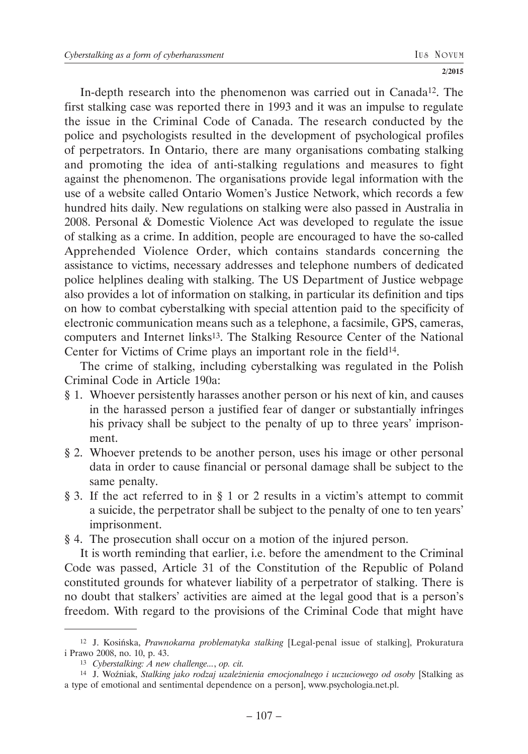In-depth research into the phenomenon was carried out in Canada12. The first stalking case was reported there in 1993 and it was an impulse to regulate the issue in the Criminal Code of Canada. The research conducted by the police and psychologists resulted in the development of psychological profiles of perpetrators. In Ontario, there are many organisations combating stalking and promoting the idea of anti-stalking regulations and measures to fight against the phenomenon. The organisations provide legal information with the use of a website called Ontario Women's Justice Network, which records a few hundred hits daily. New regulations on stalking were also passed in Australia in 2008. Personal & Domestic Violence Act was developed to regulate the issue of stalking as a crime. In addition, people are encouraged to have the so-called Apprehended Violence Order, which contains standards concerning the assistance to victims, necessary addresses and telephone numbers of dedicated police helplines dealing with stalking. The US Department of Justice webpage also provides a lot of information on stalking, in particular its definition and tips on how to combat cyberstalking with special attention paid to the specificity of electronic communication means such as a telephone, a facsimile, GPS, cameras, computers and Internet links13. The Stalking Resource Center of the National Center for Victims of Crime plays an important role in the field<sup>14</sup>.

The crime of stalking, including cyberstalking was regulated in the Polish Criminal Code in Article 190a:

- § 1. Whoever persistently harasses another person or his next of kin, and causes in the harassed person a justified fear of danger or substantially infringes his privacy shall be subject to the penalty of up to three years' imprisonment.
- § 2. Whoever pretends to be another person, uses his image or other personal data in order to cause financial or personal damage shall be subject to the same penalty.
- § 3. If the act referred to in § 1 or 2 results in a victim's attempt to commit a suicide, the perpetrator shall be subject to the penalty of one to ten years' imprisonment.
- § 4. The prosecution shall occur on a motion of the injured person.

It is worth reminding that earlier, i.e. before the amendment to the Criminal Code was passed, Article 31 of the Constitution of the Republic of Poland constituted grounds for whatever liability of a perpetrator of stalking. There is no doubt that stalkers' activities are aimed at the legal good that is a person's freedom. With regard to the provisions of the Criminal Code that might have

<sup>12</sup> J. Kosińska, *Prawnokarna problematyka stalking* [Legal-penal issue of stalking], Prokuratura i Prawo 2008, no. 10, p. 43.

<sup>13</sup> *Cyberstalking: A new challenge...*, *op. cit.*

<sup>14</sup> J. Woźniak, *Stalking jako rodzaj uzależnienia emocjonalnego i uczuciowego od osoby* [Stalking as a type of emotional and sentimental dependence on a person], www.psychologia.net.pl.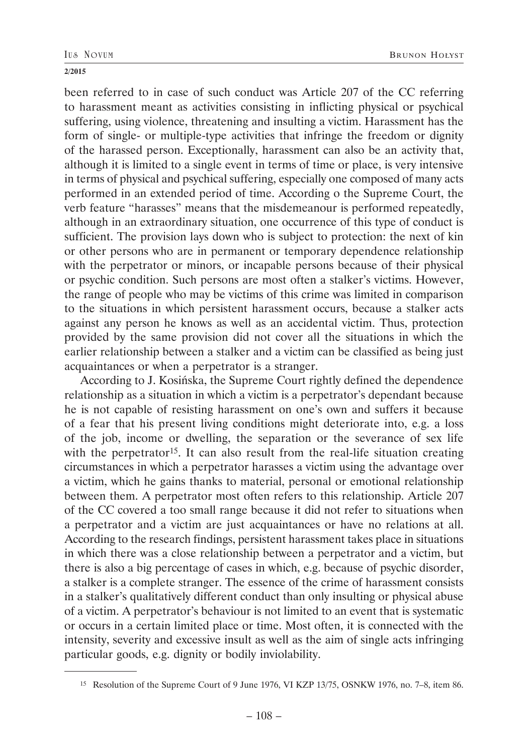been referred to in case of such conduct was Article 207 of the CC referring to harassment meant as activities consisting in inflicting physical or psychical suffering, using violence, threatening and insulting a victim. Harassment has the form of single- or multiple-type activities that infringe the freedom or dignity of the harassed person. Exceptionally, harassment can also be an activity that, although it is limited to a single event in terms of time or place, is very intensive in terms of physical and psychical suffering, especially one composed of many acts performed in an extended period of time. According o the Supreme Court, the verb feature "harasses" means that the misdemeanour is performed repeatedly, although in an extraordinary situation, one occurrence of this type of conduct is sufficient. The provision lays down who is subject to protection: the next of kin or other persons who are in permanent or temporary dependence relationship with the perpetrator or minors, or incapable persons because of their physical or psychic condition. Such persons are most often a stalker's victims. However, the range of people who may be victims of this crime was limited in comparison to the situations in which persistent harassment occurs, because a stalker acts against any person he knows as well as an accidental victim. Thus, protection provided by the same provision did not cover all the situations in which the earlier relationship between a stalker and a victim can be classified as being just acquaintances or when a perpetrator is a stranger.

According to J. Kosińska, the Supreme Court rightly defined the dependence relationship as a situation in which a victim is a perpetrator's dependant because he is not capable of resisting harassment on one's own and suffers it because of a fear that his present living conditions might deteriorate into, e.g. a loss of the job, income or dwelling, the separation or the severance of sex life with the perpetrator<sup>15</sup>. It can also result from the real-life situation creating circumstances in which a perpetrator harasses a victim using the advantage over a victim, which he gains thanks to material, personal or emotional relationship between them. A perpetrator most often refers to this relationship. Article 207 of the CC covered a too small range because it did not refer to situations when a perpetrator and a victim are just acquaintances or have no relations at all. According to the research findings, persistent harassment takes place in situations in which there was a close relationship between a perpetrator and a victim, but there is also a big percentage of cases in which, e.g. because of psychic disorder, a stalker is a complete stranger. The essence of the crime of harassment consists in a stalker's qualitatively different conduct than only insulting or physical abuse of a victim. A perpetrator's behaviour is not limited to an event that is systematic or occurs in a certain limited place or time. Most often, it is connected with the intensity, severity and excessive insult as well as the aim of single acts infringing particular goods, e.g. dignity or bodily inviolability.

<sup>15</sup> Resolution of the Supreme Court of 9 June 1976, VI KZP 13/75, OSNKW 1976, no. 7–8, item 86.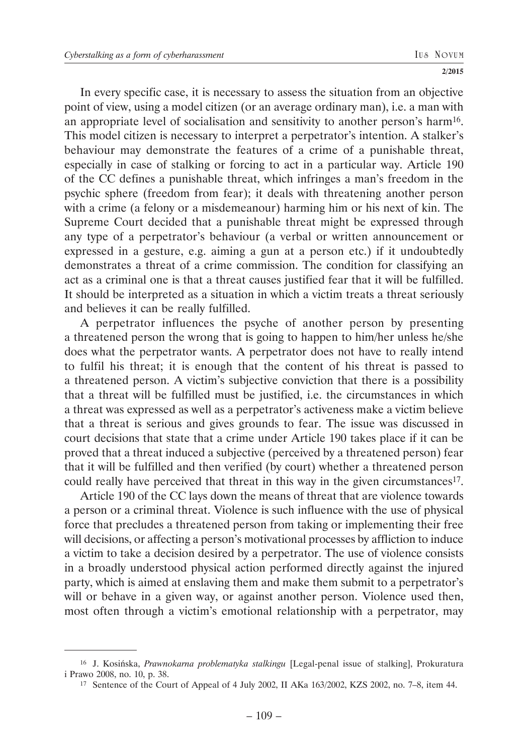In every specific case, it is necessary to assess the situation from an objective point of view, using a model citizen (or an average ordinary man), i.e. a man with an appropriate level of socialisation and sensitivity to another person's harm16. This model citizen is necessary to interpret a perpetrator's intention. A stalker's behaviour may demonstrate the features of a crime of a punishable threat, especially in case of stalking or forcing to act in a particular way. Article 190 of the CC defines a punishable threat, which infringes a man's freedom in the psychic sphere (freedom from fear); it deals with threatening another person with a crime (a felony or a misdemeanour) harming him or his next of kin. The Supreme Court decided that a punishable threat might be expressed through any type of a perpetrator's behaviour (a verbal or written announcement or expressed in a gesture, e.g. aiming a gun at a person etc.) if it undoubtedly demonstrates a threat of a crime commission. The condition for classifying an act as a criminal one is that a threat causes justified fear that it will be fulfilled. It should be interpreted as a situation in which a victim treats a threat seriously and believes it can be really fulfilled.

A perpetrator influences the psyche of another person by presenting a threatened person the wrong that is going to happen to him/her unless he/she does what the perpetrator wants. A perpetrator does not have to really intend to fulfil his threat; it is enough that the content of his threat is passed to a threatened person. A victim's subjective conviction that there is a possibility that a threat will be fulfilled must be justified, i.e. the circumstances in which a threat was expressed as well as a perpetrator's activeness make a victim believe that a threat is serious and gives grounds to fear. The issue was discussed in court decisions that state that a crime under Article 190 takes place if it can be proved that a threat induced a subjective (perceived by a threatened person) fear that it will be fulfilled and then verified (by court) whether a threatened person could really have perceived that threat in this way in the given circumstances<sup>17</sup>.

Article 190 of the CC lays down the means of threat that are violence towards a person or a criminal threat. Violence is such influence with the use of physical force that precludes a threatened person from taking or implementing their free will decisions, or affecting a person's motivational processes by affliction to induce a victim to take a decision desired by a perpetrator. The use of violence consists in a broadly understood physical action performed directly against the injured party, which is aimed at enslaving them and make them submit to a perpetrator's will or behave in a given way, or against another person. Violence used then, most often through a victim's emotional relationship with a perpetrator, may

<sup>16</sup> J. Kosińska, *Prawnokarna problematyka stalkingu* [Legal-penal issue of stalking], Prokuratura i Prawo 2008, no. 10, p. 38.

<sup>17</sup> Sentence of the Court of Appeal of 4 July 2002, II AKa 163/2002, KZS 2002, no. 7–8, item 44.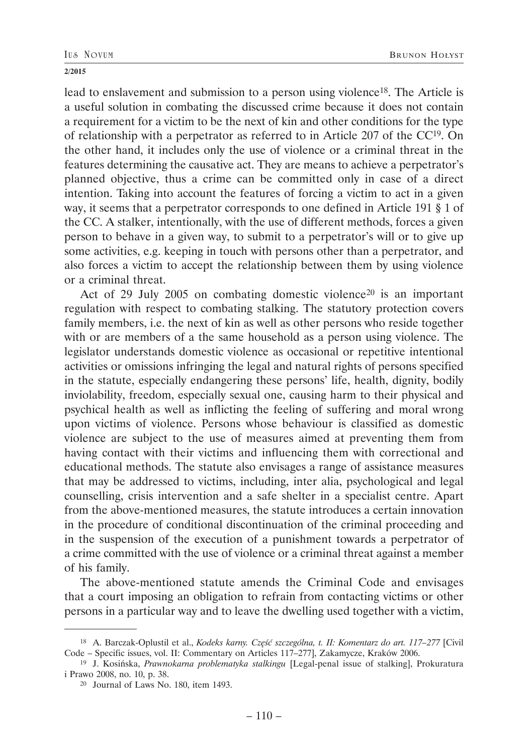lead to enslavement and submission to a person using violence<sup>18</sup>. The Article is a useful solution in combating the discussed crime because it does not contain a requirement for a victim to be the next of kin and other conditions for the type of relationship with a perpetrator as referred to in Article 207 of the CC19. On the other hand, it includes only the use of violence or a criminal threat in the features determining the causative act. They are means to achieve a perpetrator's planned objective, thus a crime can be committed only in case of a direct intention. Taking into account the features of forcing a victim to act in a given way, it seems that a perpetrator corresponds to one defined in Article 191 § 1 of the CC. A stalker, intentionally, with the use of different methods, forces a given person to behave in a given way, to submit to a perpetrator's will or to give up some activities, e.g. keeping in touch with persons other than a perpetrator, and also forces a victim to accept the relationship between them by using violence or a criminal threat.

Act of 29 July 2005 on combating domestic violence<sup>20</sup> is an important regulation with respect to combating stalking. The statutory protection covers family members, i.e. the next of kin as well as other persons who reside together with or are members of a the same household as a person using violence. The legislator understands domestic violence as occasional or repetitive intentional activities or omissions infringing the legal and natural rights of persons specified in the statute, especially endangering these persons' life, health, dignity, bodily inviolability, freedom, especially sexual one, causing harm to their physical and psychical health as well as inflicting the feeling of suffering and moral wrong upon victims of violence. Persons whose behaviour is classified as domestic violence are subject to the use of measures aimed at preventing them from having contact with their victims and influencing them with correctional and educational methods. The statute also envisages a range of assistance measures that may be addressed to victims, including, inter alia, psychological and legal counselling, crisis intervention and a safe shelter in a specialist centre. Apart from the above-mentioned measures, the statute introduces a certain innovation in the procedure of conditional discontinuation of the criminal proceeding and in the suspension of the execution of a punishment towards a perpetrator of a crime committed with the use of violence or a criminal threat against a member of his family.

The above-mentioned statute amends the Criminal Code and envisages that a court imposing an obligation to refrain from contacting victims or other persons in a particular way and to leave the dwelling used together with a victim,

<sup>18</sup> A. Barczak-Oplustil et al., *Kodeks karny. Część szczególna, t. II: Komentarz do art. 117–277* [Civil Code – Specific issues, vol. II: Commentary on Articles 117–277], Zakamycze, Kraków 2006.

<sup>19</sup> J. Kosińska, *Prawnokarna problematyka stalkingu* [Legal-penal issue of stalking], Prokuratura i Prawo 2008, no. 10, p. 38.

<sup>20</sup> Journal of Laws No. 180, item 1493.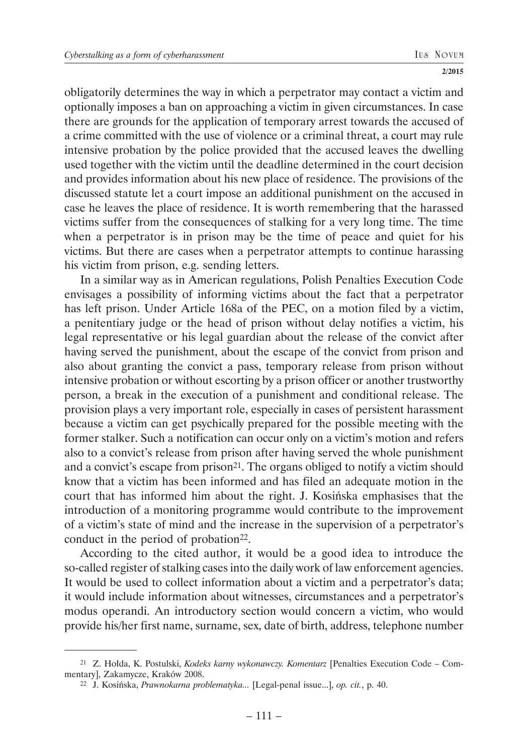obligatorily determines the way in which a perpetrator may contact a victim and optionally imposes a ban on approaching a victim in given circumstances. In case there are grounds for the application of temporary arrest towards the accused of a crime committed with the use of violence or a criminal threat, a court may rule intensive probation by the police provided that the accused leaves the dwelling used together with the victim until the deadline determined in the court decision and provides information about his new place of residence. The provisions of the discussed statute let a court impose an additional punishment on the accused in case he leaves the place of residence. It is worth remembering that the harassed victims suffer from the consequences of stalking for a very long time. The time when a perpetrator is in prison may be the time of peace and quiet for his victims. But there are cases when a perpetrator attempts to continue harassing his victim from prison, e.g. sending letters.

In a similar way as in American regulations, Polish Penalties Execution Code envisages a possibility of informing victims about the fact that a perpetrator has left prison. Under Article 168a of the PEC, on a motion filed by a victim, a penitentiary judge or the head of prison without delay notifies a victim, his legal representative or his legal guardian about the release of the convict after having served the punishment, about the escape of the convict from prison and also about granting the convict a pass, temporary release from prison without intensive probation or without escorting by a prison officer or another trustworthy person, a break in the execution of a punishment and conditional release. The provision plays a very important role, especially in cases of persistent harassment because a victim can get psychically prepared for the possible meeting with the former stalker. Such a notification can occur only on a victim's motion and refers also to a convict's release from prison after having served the whole punishment and a convict's escape from prison<sup>21</sup>. The organs obliged to notify a victim should know that a victim has been informed and has filed an adequate motion in the court that has informed him about the right. J. Kosińska emphasises that the introduction of a monitoring programme would contribute to the improvement of a victim's state of mind and the increase in the supervision of a perpetrator's conduct in the period of probation<sup>22</sup>.

According to the cited author, it would be a good idea to introduce the so-called register of stalking cases into the daily work of law enforcement agencies. It would be used to collect information about a victim and a perpetrator's data; it would include information about witnesses, circumstances and a perpetrator's modus operandi. An introductory section would concern a victim, who would provide his/her first name, surname, sex, date of birth, address, telephone number

<sup>21</sup> Z. Hołda, K. Postulski, *Kodeks karny wykonawczy. Komentarz* [Penalties Execution Code – Commentary], Zakamycze, Kraków 2008.

<sup>22</sup> J. Kosińska, *Prawnokarna problematyka...* [Legal-penal issue...], *op. cit.*, p. 40.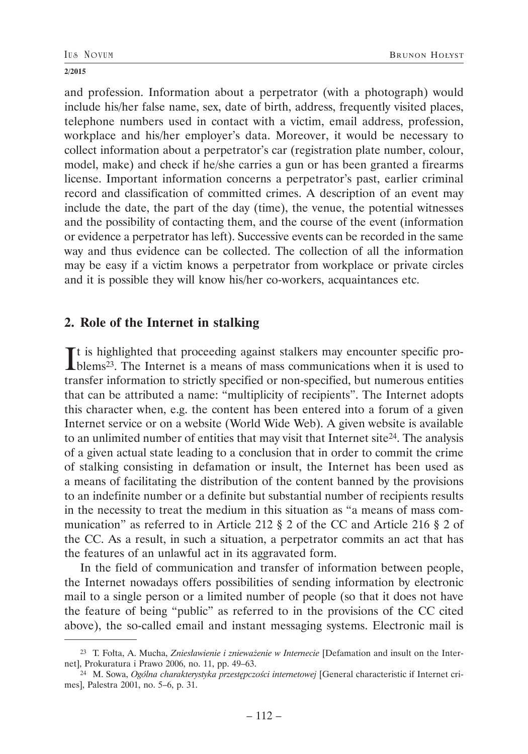and profession. Information about a perpetrator (with a photograph) would include his/her false name, sex, date of birth, address, frequently visited places, telephone numbers used in contact with a victim, email address, profession, workplace and his/her employer's data. Moreover, it would be necessary to collect information about a perpetrator's car (registration plate number, colour, model, make) and check if he/she carries a gun or has been granted a firearms license. Important information concerns a perpetrator's past, earlier criminal record and classification of committed crimes. A description of an event may include the date, the part of the day (time), the venue, the potential witnesses and the possibility of contacting them, and the course of the event (information or evidence a perpetrator has left). Successive events can be recorded in the same way and thus evidence can be collected. The collection of all the information may be easy if a victim knows a perpetrator from workplace or private circles and it is possible they will know his/her co-workers, acquaintances etc.

# **2. Role of the Internet in stalking**

It is highlighted that proceeding against stalkers may encounter specific pro-<br>blems<sup>23</sup>. The Internet is a means of mass communications when it is used to  $\mathbf{T}$ t is highlighted that proceeding against stalkers may encounter specific protransfer information to strictly specified or non-specified, but numerous entities that can be attributed a name: "multiplicity of recipients". The Internet adopts this character when, e.g. the content has been entered into a forum of a given Internet service or on a website (World Wide Web). A given website is available to an unlimited number of entities that may visit that Internet site  $24$ . The analysis of a given actual state leading to a conclusion that in order to commit the crime of stalking consisting in defamation or insult, the Internet has been used as a means of facilitating the distribution of the content banned by the provisions to an indefinite number or a definite but substantial number of recipients results in the necessity to treat the medium in this situation as "a means of mass communication" as referred to in Article 212 § 2 of the CC and Article 216 § 2 of the CC. As a result, in such a situation, a perpetrator commits an act that has the features of an unlawful act in its aggravated form.

In the field of communication and transfer of information between people, the Internet nowadays offers possibilities of sending information by electronic mail to a single person or a limited number of people (so that it does not have the feature of being "public" as referred to in the provisions of the CC cited above), the so-called email and instant messaging systems. Electronic mail is

<sup>23</sup> T. Fołta, A. Mucha, *Zniesławienie i znieważenie w Internecie* [Defamation and insult on the Internet], Prokuratura i Prawo 2006, no. 11, pp. 49–63.

<sup>24</sup> M. Sowa, *Ogólna charakterystyka przestępczości internetowej* [General characteristic if Internet crimes], Palestra 2001, no. 5–6, p. 31.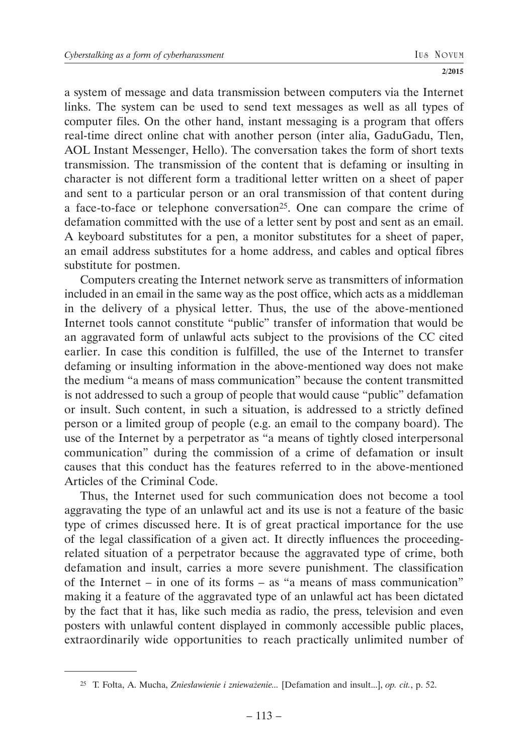a system of message and data transmission between computers via the Internet links. The system can be used to send text messages as well as all types of computer files. On the other hand, instant messaging is a program that offers real-time direct online chat with another person (inter alia, GaduGadu, Tlen, AOL Instant Messenger, Hello). The conversation takes the form of short texts transmission. The transmission of the content that is defaming or insulting in character is not different form a traditional letter written on a sheet of paper and sent to a particular person or an oral transmission of that content during a face-to-face or telephone conversation<sup>25</sup>. One can compare the crime of defamation committed with the use of a letter sent by post and sent as an email. A keyboard substitutes for a pen, a monitor substitutes for a sheet of paper, an email address substitutes for a home address, and cables and optical fibres substitute for postmen.

Computers creating the Internet network serve as transmitters of information included in an email in the same way as the post office, which acts as a middleman in the delivery of a physical letter. Thus, the use of the above-mentioned Internet tools cannot constitute "public" transfer of information that would be an aggravated form of unlawful acts subject to the provisions of the CC cited earlier. In case this condition is fulfilled, the use of the Internet to transfer defaming or insulting information in the above-mentioned way does not make the medium "a means of mass communication" because the content transmitted is not addressed to such a group of people that would cause "public" defamation or insult. Such content, in such a situation, is addressed to a strictly defined person or a limited group of people (e.g. an email to the company board). The use of the Internet by a perpetrator as "a means of tightly closed interpersonal communication" during the commission of a crime of defamation or insult causes that this conduct has the features referred to in the above-mentioned Articles of the Criminal Code.

Thus, the Internet used for such communication does not become a tool aggravating the type of an unlawful act and its use is not a feature of the basic type of crimes discussed here. It is of great practical importance for the use of the legal classification of a given act. It directly influences the proceedingrelated situation of a perpetrator because the aggravated type of crime, both defamation and insult, carries a more severe punishment. The classification of the Internet – in one of its forms – as "a means of mass communication" making it a feature of the aggravated type of an unlawful act has been dictated by the fact that it has, like such media as radio, the press, television and even posters with unlawful content displayed in commonly accessible public places, extraordinarily wide opportunities to reach practically unlimited number of

<sup>25</sup> T. Fołta, A. Mucha, *Zniesławienie i znieważenie...* [Defamation and insult...], *op. cit.*, p. 52.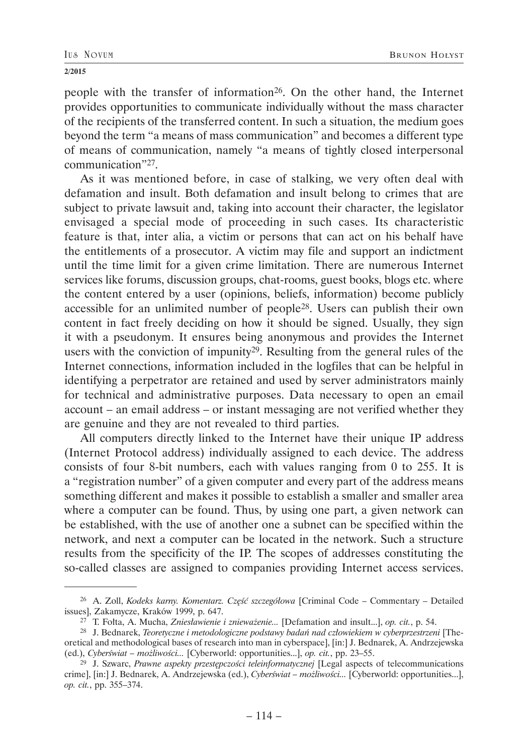people with the transfer of information26. On the other hand, the Internet provides opportunities to communicate individually without the mass character of the recipients of the transferred content. In such a situation, the medium goes beyond the term "a means of mass communication" and becomes a different type of means of communication, namely "a means of tightly closed interpersonal communication"27.

As it was mentioned before, in case of stalking, we very often deal with defamation and insult. Both defamation and insult belong to crimes that are subject to private lawsuit and, taking into account their character, the legislator envisaged a special mode of proceeding in such cases. Its characteristic feature is that, inter alia, a victim or persons that can act on his behalf have the entitlements of a prosecutor. A victim may file and support an indictment until the time limit for a given crime limitation. There are numerous Internet services like forums, discussion groups, chat-rooms, guest books, blogs etc. where the content entered by a user (opinions, beliefs, information) become publicly accessible for an unlimited number of people28. Users can publish their own content in fact freely deciding on how it should be signed. Usually, they sign it with a pseudonym. It ensures being anonymous and provides the Internet users with the conviction of impunity29. Resulting from the general rules of the Internet connections, information included in the logfiles that can be helpful in identifying a perpetrator are retained and used by server administrators mainly for technical and administrative purposes. Data necessary to open an email account – an email address – or instant messaging are not verified whether they are genuine and they are not revealed to third parties.

All computers directly linked to the Internet have their unique IP address (Internet Protocol address) individually assigned to each device. The address consists of four 8-bit numbers, each with values ranging from 0 to 255. It is a "registration number" of a given computer and every part of the address means something different and makes it possible to establish a smaller and smaller area where a computer can be found. Thus, by using one part, a given network can be established, with the use of another one a subnet can be specified within the network, and next a computer can be located in the network. Such a structure results from the specificity of the IP. The scopes of addresses constituting the so-called classes are assigned to companies providing Internet access services.

<sup>26</sup> A. Zoll, *Kodeks karny. Komentarz. Część szczegółowa* [Criminal Code – Commentary – Detailed issues], Zakamycze, Kraków 1999, p. 647.

<sup>27</sup> T. Fołta, A. Mucha, *Zniesławienie i znieważenie...* [Defamation and insult...], *op. cit.*, p. 54.

<sup>28</sup> J. Bednarek, *Teoretyczne i metodologiczne podstawy badań nad człowiekiem w cyberprzestrzeni* [Theoretical and methodological bases of research into man in cyberspace], [in:] J. Bednarek, A. Andrzejewska (ed.), *Cyberświat – możliwości...* [Cyberworld: opportunities...], *op. cit.*, pp. 23–55.

<sup>29</sup> J. Szwarc, *Prawne aspekty przestępczości teleinformatycznej* [Legal aspects of telecommunications crime], [in:] J. Bednarek, A. Andrzejewska (ed.), *Cyberświat – możliwości...* [Cyberworld: opportunities...], *op. cit.*, pp. 355–374.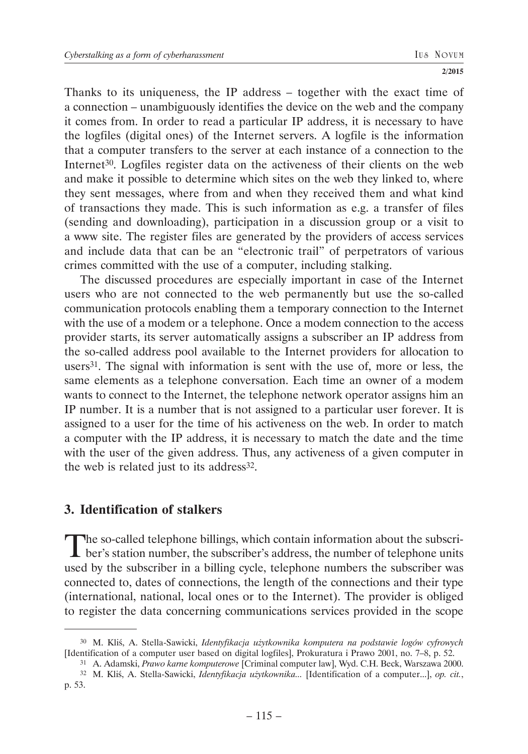Thanks to its uniqueness, the IP address – together with the exact time of a connection – unambiguously identifies the device on the web and the company it comes from. In order to read a particular IP address, it is necessary to have the logfiles (digital ones) of the Internet servers. A logfile is the information that a computer transfers to the server at each instance of a connection to the Internet<sup>30</sup>. Logfiles register data on the activeness of their clients on the web and make it possible to determine which sites on the web they linked to, where they sent messages, where from and when they received them and what kind of transactions they made. This is such information as e.g. a transfer of files (sending and downloading), participation in a discussion group or a visit to a www site. The register files are generated by the providers of access services and include data that can be an "electronic trail" of perpetrators of various crimes committed with the use of a computer, including stalking.

The discussed procedures are especially important in case of the Internet users who are not connected to the web permanently but use the so-called communication protocols enabling them a temporary connection to the Internet with the use of a modem or a telephone. Once a modem connection to the access provider starts, its server automatically assigns a subscriber an IP address from the so-called address pool available to the Internet providers for allocation to users31. The signal with information is sent with the use of, more or less, the same elements as a telephone conversation. Each time an owner of a modem wants to connect to the Internet, the telephone network operator assigns him an IP number. It is a number that is not assigned to a particular user forever. It is assigned to a user for the time of his activeness on the web. In order to match a computer with the IP address, it is necessary to match the date and the time with the user of the given address. Thus, any activeness of a given computer in the web is related just to its address<sup>32</sup>.

# **3. Identification of stalkers**

The so-called telephone billings, which contain information about the subscriber's station number, the subscriber's address, the number of telephone units used by the subscriber in a billing cycle, telephone numbers the subscriber was connected to, dates of connections, the length of the connections and their type (international, national, local ones or to the Internet). The provider is obliged to register the data concerning communications services provided in the scope

<sup>30</sup> M. Kliś, A. Stella-Sawicki, *Identyfikacja użytkownika komputera na podstawie logów cyfrowych* [Identification of a computer user based on digital logfiles], Prokuratura i Prawo 2001, no. 7–8, p. 52.

<sup>31</sup> A. Adamski, *Prawo karne komputerowe* [Criminal computer law], Wyd. C.H. Beck, Warszawa 2000.

<sup>32</sup> M. Kliś, A. Stella-Sawicki, *Identyfikacja użytkownika...* [Identification of a computer...], *op. cit.*, p. 53.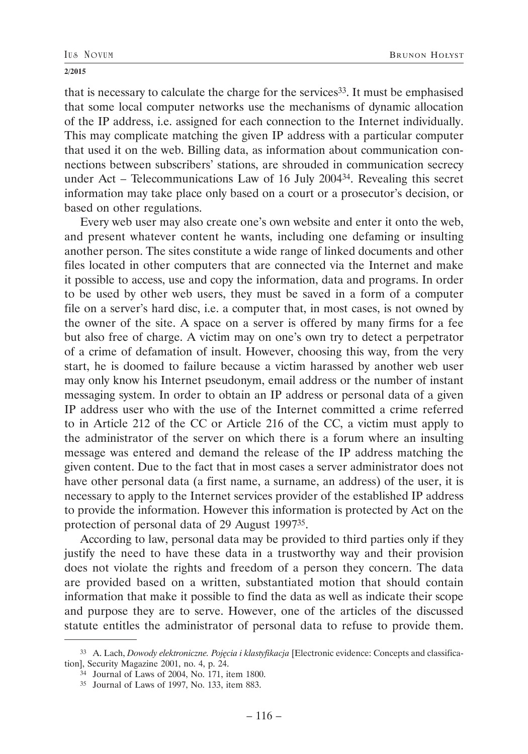that is necessary to calculate the charge for the services33. It must be emphasised that some local computer networks use the mechanisms of dynamic allocation of the IP address, i.e. assigned for each connection to the Internet individually. This may complicate matching the given IP address with a particular computer that used it on the web. Billing data, as information about communication connections between subscribers' stations, are shrouded in communication secrecy under Act – Telecommunications Law of 16 July 200434. Revealing this secret information may take place only based on a court or a prosecutor's decision, or based on other regulations.

Every web user may also create one's own website and enter it onto the web, and present whatever content he wants, including one defaming or insulting another person. The sites constitute a wide range of linked documents and other files located in other computers that are connected via the Internet and make it possible to access, use and copy the information, data and programs. In order to be used by other web users, they must be saved in a form of a computer file on a server's hard disc, i.e. a computer that, in most cases, is not owned by the owner of the site. A space on a server is offered by many firms for a fee but also free of charge. A victim may on one's own try to detect a perpetrator of a crime of defamation of insult. However, choosing this way, from the very start, he is doomed to failure because a victim harassed by another web user may only know his Internet pseudonym, email address or the number of instant messaging system. In order to obtain an IP address or personal data of a given IP address user who with the use of the Internet committed a crime referred to in Article 212 of the CC or Article 216 of the CC, a victim must apply to the administrator of the server on which there is a forum where an insulting message was entered and demand the release of the IP address matching the given content. Due to the fact that in most cases a server administrator does not have other personal data (a first name, a surname, an address) of the user, it is necessary to apply to the Internet services provider of the established IP address to provide the information. However this information is protected by Act on the protection of personal data of 29 August 199735.

According to law, personal data may be provided to third parties only if they justify the need to have these data in a trustworthy way and their provision does not violate the rights and freedom of a person they concern. The data are provided based on a written, substantiated motion that should contain information that make it possible to find the data as well as indicate their scope and purpose they are to serve. However, one of the articles of the discussed statute entitles the administrator of personal data to refuse to provide them.

<sup>33</sup> A. Lach, *Dowody elektroniczne. Pojęcia i klastyfikacja* [Electronic evidence: Concepts and classification], Security Magazine 2001, no. 4, p. 24.

<sup>34</sup> Journal of Laws of 2004, No. 171, item 1800.

<sup>35</sup> Journal of Laws of 1997, No. 133, item 883.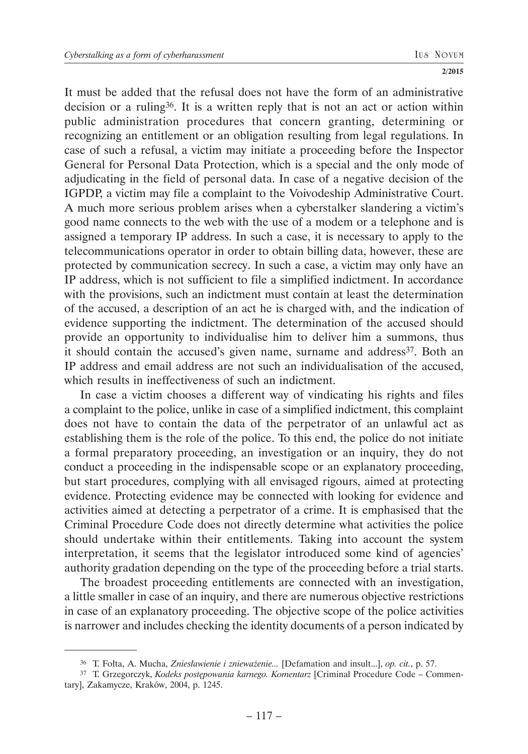It must be added that the refusal does not have the form of an administrative decision or a ruling36. It is a written reply that is not an act or action within public administration procedures that concern granting, determining or recognizing an entitlement or an obligation resulting from legal regulations. In case of such a refusal, a victim may initiate a proceeding before the Inspector General for Personal Data Protection, which is a special and the only mode of adjudicating in the field of personal data. In case of a negative decision of the IGPDP, a victim may file a complaint to the Voivodeship Administrative Court. A much more serious problem arises when a cyberstalker slandering a victim's good name connects to the web with the use of a modem or a telephone and is assigned a temporary IP address. In such a case, it is necessary to apply to the telecommunications operator in order to obtain billing data, however, these are protected by communication secrecy. In such a case, a victim may only have an IP address, which is not sufficient to file a simplified indictment. In accordance with the provisions, such an indictment must contain at least the determination of the accused, a description of an act he is charged with, and the indication of evidence supporting the indictment. The determination of the accused should provide an opportunity to individualise him to deliver him a summons, thus it should contain the accused's given name, surname and address<sup>37</sup>. Both an IP address and email address are not such an individualisation of the accused, which results in ineffectiveness of such an indictment.

In case a victim chooses a different way of vindicating his rights and files a complaint to the police, unlike in case of a simplified indictment, this complaint does not have to contain the data of the perpetrator of an unlawful act as establishing them is the role of the police. To this end, the police do not initiate a formal preparatory proceeding, an investigation or an inquiry, they do not conduct a proceeding in the indispensable scope or an explanatory proceeding, but start procedures, complying with all envisaged rigours, aimed at protecting evidence. Protecting evidence may be connected with looking for evidence and activities aimed at detecting a perpetrator of a crime. It is emphasised that the Criminal Procedure Code does not directly determine what activities the police should undertake within their entitlements. Taking into account the system interpretation, it seems that the legislator introduced some kind of agencies' authority gradation depending on the type of the proceeding before a trial starts.

The broadest proceeding entitlements are connected with an investigation, a little smaller in case of an inquiry, and there are numerous objective restrictions in case of an explanatory proceeding. The objective scope of the police activities is narrower and includes checking the identity documents of a person indicated by

<sup>36</sup> T. Fołta, A. Mucha, *Zniesławienie i znieważenie...* [Defamation and insult...], *op. cit.*, p. 57.

<sup>37</sup> T. Grzegorczyk, *Kodeks postępowania karnego. Komentarz* [Criminal Procedure Code – Commentary], Zakamycze, Kraków, 2004, p. 1245.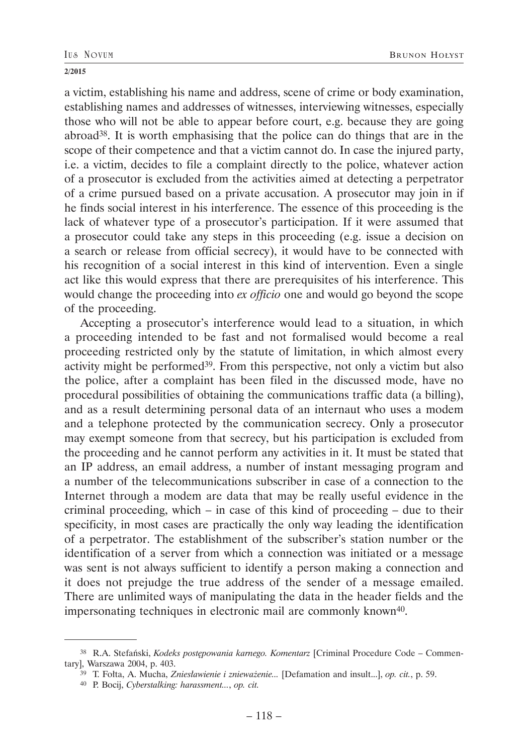a victim, establishing his name and address, scene of crime or body examination, establishing names and addresses of witnesses, interviewing witnesses, especially those who will not be able to appear before court, e.g. because they are going abroad38. It is worth emphasising that the police can do things that are in the scope of their competence and that a victim cannot do. In case the injured party, i.e. a victim, decides to file a complaint directly to the police, whatever action of a prosecutor is excluded from the activities aimed at detecting a perpetrator of a crime pursued based on a private accusation. A prosecutor may join in if he finds social interest in his interference. The essence of this proceeding is the lack of whatever type of a prosecutor's participation. If it were assumed that a prosecutor could take any steps in this proceeding (e.g. issue a decision on a search or release from official secrecy), it would have to be connected with his recognition of a social interest in this kind of intervention. Even a single act like this would express that there are prerequisites of his interference. This would change the proceeding into *ex officio* one and would go beyond the scope of the proceeding.

Accepting a prosecutor's interference would lead to a situation, in which a proceeding intended to be fast and not formalised would become a real proceeding restricted only by the statute of limitation, in which almost every activity might be performed<sup>39</sup>. From this perspective, not only a victim but also the police, after a complaint has been filed in the discussed mode, have no procedural possibilities of obtaining the communications traffic data (a billing), and as a result determining personal data of an internaut who uses a modem and a telephone protected by the communication secrecy. Only a prosecutor may exempt someone from that secrecy, but his participation is excluded from the proceeding and he cannot perform any activities in it. It must be stated that an IP address, an email address, a number of instant messaging program and a number of the telecommunications subscriber in case of a connection to the Internet through a modem are data that may be really useful evidence in the criminal proceeding, which – in case of this kind of proceeding – due to their specificity, in most cases are practically the only way leading the identification of a perpetrator. The establishment of the subscriber's station number or the identification of a server from which a connection was initiated or a message was sent is not always sufficient to identify a person making a connection and it does not prejudge the true address of the sender of a message emailed. There are unlimited ways of manipulating the data in the header fields and the impersonating techniques in electronic mail are commonly known<sup>40</sup>.

<sup>38</sup> R.A. Stefański, *Kodeks postępowania karnego. Komentarz* [Criminal Procedure Code – Commentary], Warszawa 2004, p. 403.

<sup>39</sup> T. Fołta, A. Mucha, *Zniesławienie i znieważenie...* [Defamation and insult...], *op. cit.*, p. 59.

<sup>40</sup> P. Bocij, *Cyberstalking: harassment...*, *op. cit.*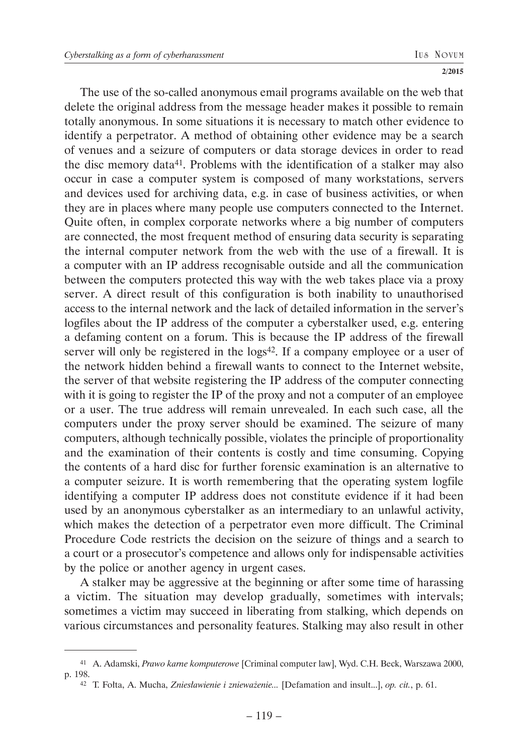The use of the so-called anonymous email programs available on the web that delete the original address from the message header makes it possible to remain totally anonymous. In some situations it is necessary to match other evidence to identify a perpetrator. A method of obtaining other evidence may be a search of venues and a seizure of computers or data storage devices in order to read the disc memory data41. Problems with the identification of a stalker may also occur in case a computer system is composed of many workstations, servers and devices used for archiving data, e.g. in case of business activities, or when they are in places where many people use computers connected to the Internet. Quite often, in complex corporate networks where a big number of computers are connected, the most frequent method of ensuring data security is separating the internal computer network from the web with the use of a firewall. It is a computer with an IP address recognisable outside and all the communication between the computers protected this way with the web takes place via a proxy server. A direct result of this configuration is both inability to unauthorised access to the internal network and the lack of detailed information in the server's logfiles about the IP address of the computer a cyberstalker used, e.g. entering a defaming content on a forum. This is because the IP address of the firewall server will only be registered in the logs<sup>42</sup>. If a company employee or a user of the network hidden behind a firewall wants to connect to the Internet website, the server of that website registering the IP address of the computer connecting with it is going to register the IP of the proxy and not a computer of an employee or a user. The true address will remain unrevealed. In each such case, all the computers under the proxy server should be examined. The seizure of many computers, although technically possible, violates the principle of proportionality and the examination of their contents is costly and time consuming. Copying the contents of a hard disc for further forensic examination is an alternative to a computer seizure. It is worth remembering that the operating system logfile identifying a computer IP address does not constitute evidence if it had been used by an anonymous cyberstalker as an intermediary to an unlawful activity, which makes the detection of a perpetrator even more difficult. The Criminal Procedure Code restricts the decision on the seizure of things and a search to a court or a prosecutor's competence and allows only for indispensable activities by the police or another agency in urgent cases.

A stalker may be aggressive at the beginning or after some time of harassing a victim. The situation may develop gradually, sometimes with intervals; sometimes a victim may succeed in liberating from stalking, which depends on various circumstances and personality features. Stalking may also result in other

<sup>41</sup> A. Adamski, *Prawo karne komputerowe* [Criminal computer law], Wyd. C.H. Beck, Warszawa 2000, p. 198.

<sup>42</sup> T. Fołta, A. Mucha, *Zniesławienie i znieważenie...* [Defamation and insult...], *op. cit.*, p. 61.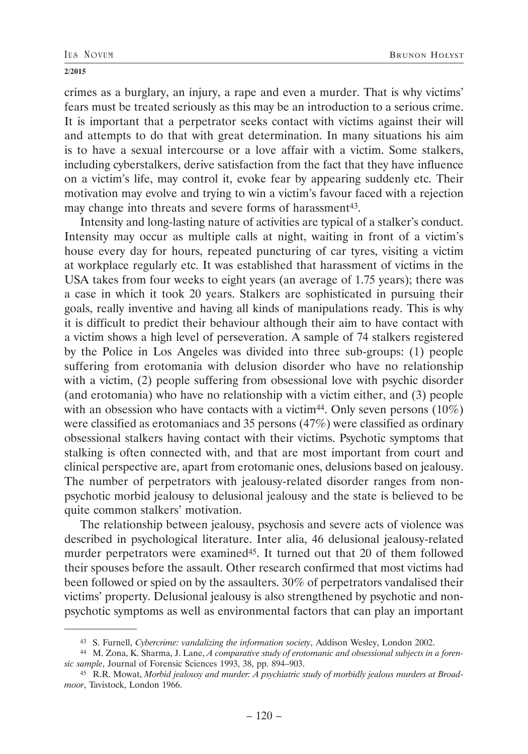crimes as a burglary, an injury, a rape and even a murder. That is why victims' fears must be treated seriously as this may be an introduction to a serious crime. It is important that a perpetrator seeks contact with victims against their will and attempts to do that with great determination. In many situations his aim is to have a sexual intercourse or a love affair with a victim. Some stalkers, including cyberstalkers, derive satisfaction from the fact that they have influence on a victim's life, may control it, evoke fear by appearing suddenly etc. Their motivation may evolve and trying to win a victim's favour faced with a rejection may change into threats and severe forms of harassment<sup>43</sup>.

Intensity and long-lasting nature of activities are typical of a stalker's conduct. Intensity may occur as multiple calls at night, waiting in front of a victim's house every day for hours, repeated puncturing of car tyres, visiting a victim at workplace regularly etc. It was established that harassment of victims in the USA takes from four weeks to eight years (an average of 1.75 years); there was a case in which it took 20 years. Stalkers are sophisticated in pursuing their goals, really inventive and having all kinds of manipulations ready. This is why it is difficult to predict their behaviour although their aim to have contact with a victim shows a high level of perseveration. A sample of 74 stalkers registered by the Police in Los Angeles was divided into three sub-groups: (1) people suffering from erotomania with delusion disorder who have no relationship with a victim, (2) people suffering from obsessional love with psychic disorder (and erotomania) who have no relationship with a victim either, and (3) people with an obsession who have contacts with a victim<sup>44</sup>. Only seven persons  $(10\%)$ were classified as erotomaniacs and 35 persons (47%) were classified as ordinary obsessional stalkers having contact with their victims. Psychotic symptoms that stalking is often connected with, and that are most important from court and clinical perspective are, apart from erotomanic ones, delusions based on jealousy. The number of perpetrators with jealousy-related disorder ranges from nonpsychotic morbid jealousy to delusional jealousy and the state is believed to be quite common stalkers' motivation.

The relationship between jealousy, psychosis and severe acts of violence was described in psychological literature. Inter alia, 46 delusional jealousy-related murder perpetrators were examined<sup>45</sup>. It turned out that 20 of them followed their spouses before the assault. Other research confirmed that most victims had been followed or spied on by the assaulters. 30% of perpetrators vandalised their victims' property. Delusional jealousy is also strengthened by psychotic and nonpsychotic symptoms as well as environmental factors that can play an important

<sup>43</sup> S. Furnell, *Cybercrime: vandalizing the information society*, Addison Wesley, London 2002.

<sup>44</sup> M. Zona, K. Sharma, J. Lane, *A comparative study of erotomanic and obsessional subjects in a forensic sample*, Journal of Forensic Sciences 1993, 38, pp. 894–903.

<sup>45</sup> R.R. Mowat, *Morbid jealousy and murder: A psychiatric study of morbidly jealous murders at Broadmoor*, Tavistock, London 1966.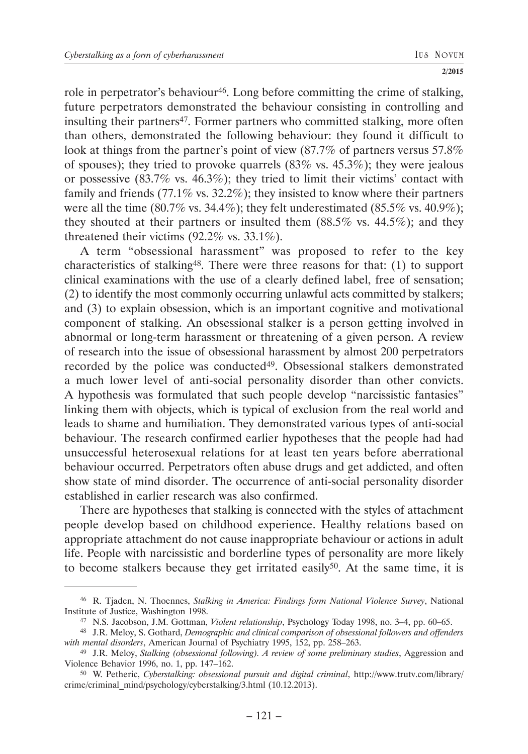role in perpetrator's behaviour<sup>46</sup>. Long before committing the crime of stalking, future perpetrators demonstrated the behaviour consisting in controlling and insulting their partners<sup>47</sup>. Former partners who committed stalking, more often than others, demonstrated the following behaviour: they found it difficult to look at things from the partner's point of view (87.7% of partners versus 57.8%) of spouses); they tried to provoke quarrels (83% vs. 45.3%); they were jealous or possessive (83.7% vs. 46.3%); they tried to limit their victims' contact with family and friends (77.1% vs. 32.2%); they insisted to know where their partners were all the time  $(80.7\% \text{ vs. } 34.4\%)$ ; they felt underestimated  $(85.5\% \text{ vs. } 40.9\%)$ ; they shouted at their partners or insulted them (88.5% vs. 44.5%); and they threatened their victims (92.2% vs. 33.1%).

A term "obsessional harassment" was proposed to refer to the key characteristics of stalking48. There were three reasons for that: (1) to support clinical examinations with the use of a clearly defined label, free of sensation; (2) to identify the most commonly occurring unlawful acts committed by stalkers; and (3) to explain obsession, which is an important cognitive and motivational component of stalking. An obsessional stalker is a person getting involved in abnormal or long-term harassment or threatening of a given person. A review of research into the issue of obsessional harassment by almost 200 perpetrators recorded by the police was conducted<sup>49</sup>. Obsessional stalkers demonstrated a much lower level of anti-social personality disorder than other convicts. A hypothesis was formulated that such people develop "narcissistic fantasies" linking them with objects, which is typical of exclusion from the real world and leads to shame and humiliation. They demonstrated various types of anti-social behaviour. The research confirmed earlier hypotheses that the people had had unsuccessful heterosexual relations for at least ten years before aberrational behaviour occurred. Perpetrators often abuse drugs and get addicted, and often show state of mind disorder. The occurrence of anti-social personality disorder established in earlier research was also confirmed.

There are hypotheses that stalking is connected with the styles of attachment people develop based on childhood experience. Healthy relations based on appropriate attachment do not cause inappropriate behaviour or actions in adult life. People with narcissistic and borderline types of personality are more likely to become stalkers because they get irritated easily<sup>50</sup>. At the same time, it is

<sup>46</sup> R. Tjaden, N. Thoennes, *Stalking in America: Findings form National Violence Survey*, National Institute of Justice, Washington 1998.

<sup>47</sup> N.S. Jacobson, J.M. Gottman, *Violent relationship*, Psychology Today 1998, no. 3–4, pp. 60–65.

<sup>48</sup> J.R. Meloy, S. Gothard, *Demographic and clinical comparison of obsessional followers and offenders with mental disorders*, American Journal of Psychiatry 1995, 152, pp. 258–263.

<sup>49</sup> J.R. Meloy, *Stalking (obsessional following). A review of some preliminary studies*, Aggression and Violence Behavior 1996, no. 1, pp. 147–162.

<sup>50</sup> W. Petheric, *Cyberstalking: obsessional pursuit and digital criminal*, http://www.trutv.com/library/ crime/criminal\_mind/psychology/cyberstalking/3.html (10.12.2013).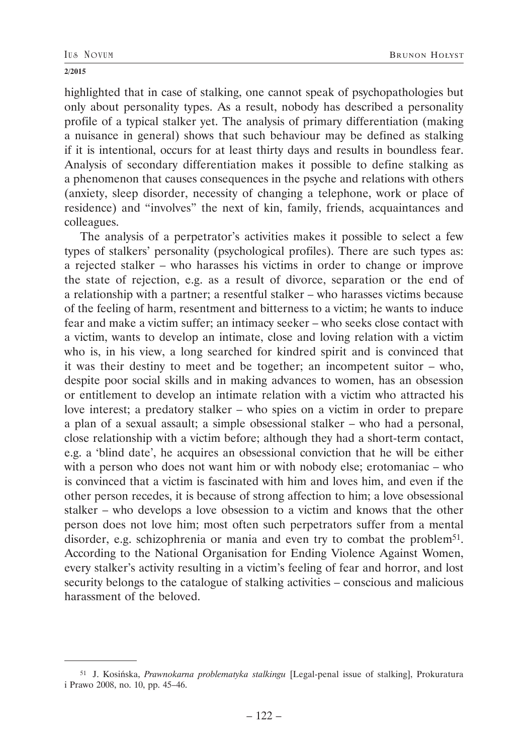highlighted that in case of stalking, one cannot speak of psychopathologies but only about personality types. As a result, nobody has described a personality profile of a typical stalker yet. The analysis of primary differentiation (making a nuisance in general) shows that such behaviour may be defined as stalking if it is intentional, occurs for at least thirty days and results in boundless fear. Analysis of secondary differentiation makes it possible to define stalking as a phenomenon that causes consequences in the psyche and relations with others (anxiety, sleep disorder, necessity of changing a telephone, work or place of residence) and "involves" the next of kin, family, friends, acquaintances and colleagues.

The analysis of a perpetrator's activities makes it possible to select a few types of stalkers' personality (psychological profiles). There are such types as: a rejected stalker – who harasses his victims in order to change or improve the state of rejection, e.g. as a result of divorce, separation or the end of a relationship with a partner; a resentful stalker – who harasses victims because of the feeling of harm, resentment and bitterness to a victim; he wants to induce fear and make a victim suffer; an intimacy seeker – who seeks close contact with a victim, wants to develop an intimate, close and loving relation with a victim who is, in his view, a long searched for kindred spirit and is convinced that it was their destiny to meet and be together; an incompetent suitor – who, despite poor social skills and in making advances to women, has an obsession or entitlement to develop an intimate relation with a victim who attracted his love interest; a predatory stalker – who spies on a victim in order to prepare a plan of a sexual assault; a simple obsessional stalker – who had a personal, close relationship with a victim before; although they had a short-term contact, e.g. a 'blind date', he acquires an obsessional conviction that he will be either with a person who does not want him or with nobody else; erotomaniac – who is convinced that a victim is fascinated with him and loves him, and even if the other person recedes, it is because of strong affection to him; a love obsessional stalker – who develops a love obsession to a victim and knows that the other person does not love him; most often such perpetrators suffer from a mental disorder, e.g. schizophrenia or mania and even try to combat the problem<sup>51</sup>. According to the National Organisation for Ending Violence Against Women, every stalker's activity resulting in a victim's feeling of fear and horror, and lost security belongs to the catalogue of stalking activities – conscious and malicious harassment of the beloved.

<sup>51</sup> J. Kosińska, *Prawnokarna problematyka stalkingu* [Legal-penal issue of stalking], Prokuratura i Prawo 2008, no. 10, pp. 45–46.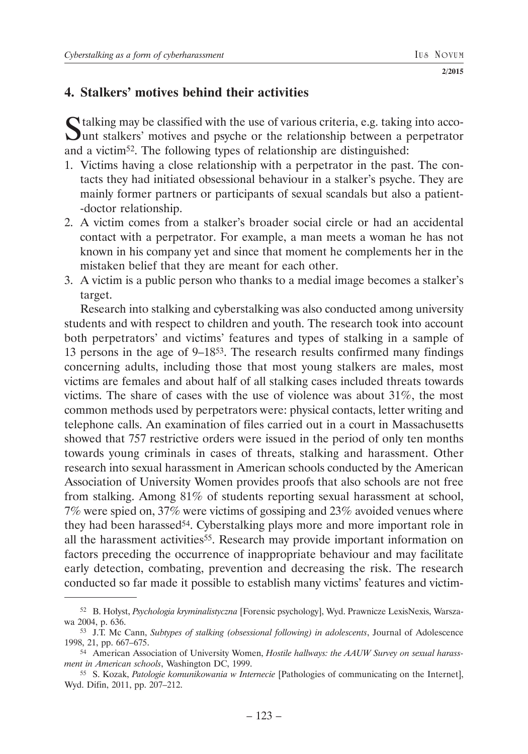# **4. Stalkers' motives behind their activities**

Stalking may be classified with the use of various criteria, e.g. taking into acco-unt stalkers' motives and psyche or the relationship between a perpetrator and a victim52. The following types of relationship are distinguished:

- 1. Victims having a close relationship with a perpetrator in the past. The contacts they had initiated obsessional behaviour in a stalker's psyche. They are mainly former partners or participants of sexual scandals but also a patient- -doctor relationship.
- 2. A victim comes from a stalker's broader social circle or had an accidental contact with a perpetrator. For example, a man meets a woman he has not known in his company yet and since that moment he complements her in the mistaken belief that they are meant for each other.
- 3. A victim is a public person who thanks to a medial image becomes a stalker's target.

Research into stalking and cyberstalking was also conducted among university students and with respect to children and youth. The research took into account both perpetrators' and victims' features and types of stalking in a sample of 13 persons in the age of 9–1853. The research results confirmed many findings concerning adults, including those that most young stalkers are males, most victims are females and about half of all stalking cases included threats towards victims. The share of cases with the use of violence was about 31%, the most common methods used by perpetrators were: physical contacts, letter writing and telephone calls. An examination of files carried out in a court in Massachusetts showed that 757 restrictive orders were issued in the period of only ten months towards young criminals in cases of threats, stalking and harassment. Other research into sexual harassment in American schools conducted by the American Association of University Women provides proofs that also schools are not free from stalking. Among 81% of students reporting sexual harassment at school, 7% were spied on, 37% were victims of gossiping and 23% avoided venues where they had been harassed<sup>54</sup>. Cyberstalking plays more and more important role in all the harassment activities<sup>55</sup>. Research may provide important information on factors preceding the occurrence of inappropriate behaviour and may facilitate early detection, combating, prevention and decreasing the risk. The research conducted so far made it possible to establish many victims' features and victim-

<sup>52</sup> B. Hołyst, *Psychologia kryminalistyczna* [Forensic psychology], Wyd. Prawnicze LexisNexis, Warszawa 2004, p. 636.

<sup>53</sup> J.T. Mc Cann, *Subtypes of stalking (obsessional following) in adolescents*, Journal of Adolescence 1998, 21, pp. 667–675.

<sup>54</sup> American Association of University Women, *Hostile hallways: the AAUW Survey on sexual harassment in American schools*, Washington DC, 1999.

<sup>55</sup> S. Kozak, *Patologie komunikowania w Internecie* [Pathologies of communicating on the Internet], Wyd. Difin, 2011, pp. 207–212.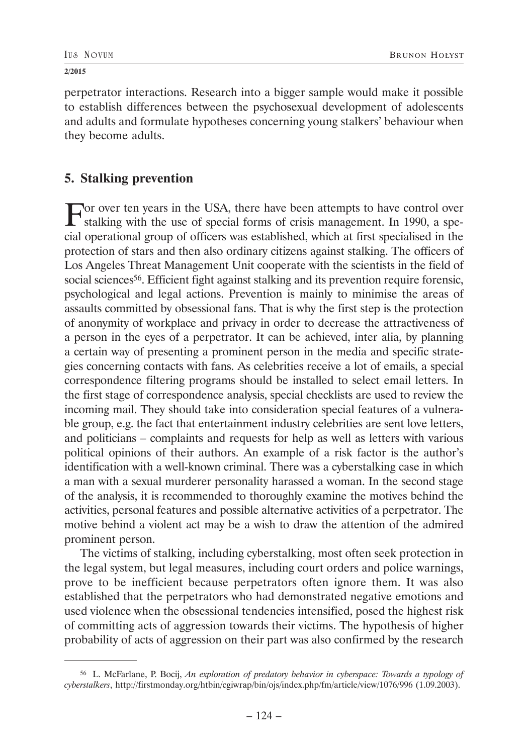perpetrator interactions. Research into a bigger sample would make it possible to establish differences between the psychosexual development of adolescents and adults and formulate hypotheses concerning young stalkers' behaviour when they become adults.

# **5. Stalking prevention**

For over ten years in the USA, there have been attempts to have control over stalking with the use of special forms of crisis management. In 1990, a special operational group of officers was established, which at first specialised in the protection of stars and then also ordinary citizens against stalking. The officers of Los Angeles Threat Management Unit cooperate with the scientists in the field of social sciences<sup>56</sup>. Efficient fight against stalking and its prevention require forensic, psychological and legal actions. Prevention is mainly to minimise the areas of assaults committed by obsessional fans. That is why the first step is the protection of anonymity of workplace and privacy in order to decrease the attractiveness of a person in the eyes of a perpetrator. It can be achieved, inter alia, by planning a certain way of presenting a prominent person in the media and specific strategies concerning contacts with fans. As celebrities receive a lot of emails, a special correspondence filtering programs should be installed to select email letters. In the first stage of correspondence analysis, special checklists are used to review the incoming mail. They should take into consideration special features of a vulnerable group, e.g. the fact that entertainment industry celebrities are sent love letters, and politicians – complaints and requests for help as well as letters with various political opinions of their authors. An example of a risk factor is the author's identification with a well-known criminal. There was a cyberstalking case in which a man with a sexual murderer personality harassed a woman. In the second stage of the analysis, it is recommended to thoroughly examine the motives behind the activities, personal features and possible alternative activities of a perpetrator. The motive behind a violent act may be a wish to draw the attention of the admired prominent person.

The victims of stalking, including cyberstalking, most often seek protection in the legal system, but legal measures, including court orders and police warnings, prove to be inefficient because perpetrators often ignore them. It was also established that the perpetrators who had demonstrated negative emotions and used violence when the obsessional tendencies intensified, posed the highest risk of committing acts of aggression towards their victims. The hypothesis of higher probability of acts of aggression on their part was also confirmed by the research

<sup>56</sup> L. McFarlane, P. Bocij, *An exploration of predatory behavior in cyberspace: Towards a typology of cyberstalkers*, http://firstmonday.org/htbin/cgiwrap/bin/ojs/index.php/fm/article/view/1076/996 (1.09.2003).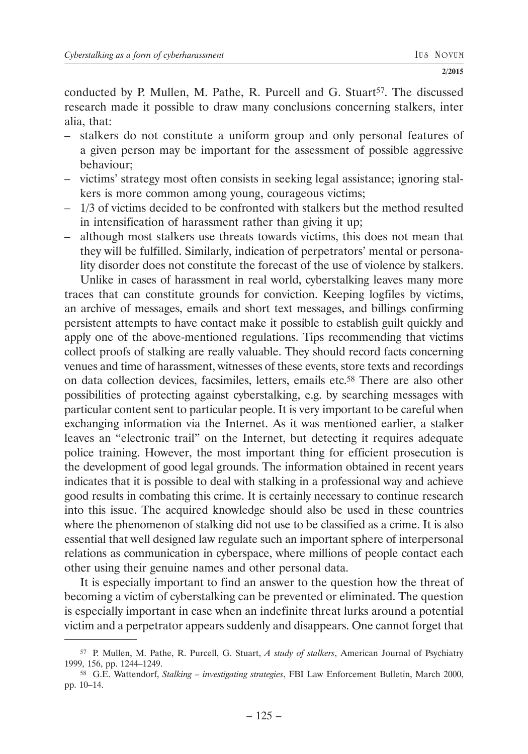conducted by P. Mullen, M. Pathe, R. Purcell and G. Stuart<sup>57</sup>. The discussed research made it possible to draw many conclusions concerning stalkers, inter alia, that:

- stalkers do not constitute a uniform group and only personal features of a given person may be important for the assessment of possible aggressive behaviour;
- victims' strategy most often consists in seeking legal assistance; ignoring stalkers is more common among young, courageous victims;
- 1/3 of victims decided to be confronted with stalkers but the method resulted in intensification of harassment rather than giving it up;
- although most stalkers use threats towards victims, this does not mean that they will be fulfilled. Similarly, indication of perpetrators' mental or personality disorder does not constitute the forecast of the use of violence by stalkers. Unlike in cases of harassment in real world, cyberstalking leaves many more

traces that can constitute grounds for conviction. Keeping logfiles by victims, an archive of messages, emails and short text messages, and billings confirming persistent attempts to have contact make it possible to establish guilt quickly and apply one of the above-mentioned regulations. Tips recommending that victims collect proofs of stalking are really valuable. They should record facts concerning venues and time of harassment, witnesses of these events, store texts and recordings on data collection devices, facsimiles, letters, emails etc.58 There are also other possibilities of protecting against cyberstalking, e.g. by searching messages with particular content sent to particular people. It is very important to be careful when exchanging information via the Internet. As it was mentioned earlier, a stalker leaves an "electronic trail" on the Internet, but detecting it requires adequate police training. However, the most important thing for efficient prosecution is the development of good legal grounds. The information obtained in recent years indicates that it is possible to deal with stalking in a professional way and achieve good results in combating this crime. It is certainly necessary to continue research into this issue. The acquired knowledge should also be used in these countries where the phenomenon of stalking did not use to be classified as a crime. It is also essential that well designed law regulate such an important sphere of interpersonal relations as communication in cyberspace, where millions of people contact each other using their genuine names and other personal data.

It is especially important to find an answer to the question how the threat of becoming a victim of cyberstalking can be prevented or eliminated. The question is especially important in case when an indefinite threat lurks around a potential victim and a perpetrator appears suddenly and disappears. One cannot forget that

<sup>57</sup> P. Mullen, M. Pathe, R. Purcell, G. Stuart, *A study of stalkers*, American Journal of Psychiatry 1999, 156, pp. 1244–1249.

<sup>58</sup> G.E. Wattendorf, *Stalking – investigating strategies*, FBI Law Enforcement Bulletin, March 2000, pp. 10–14.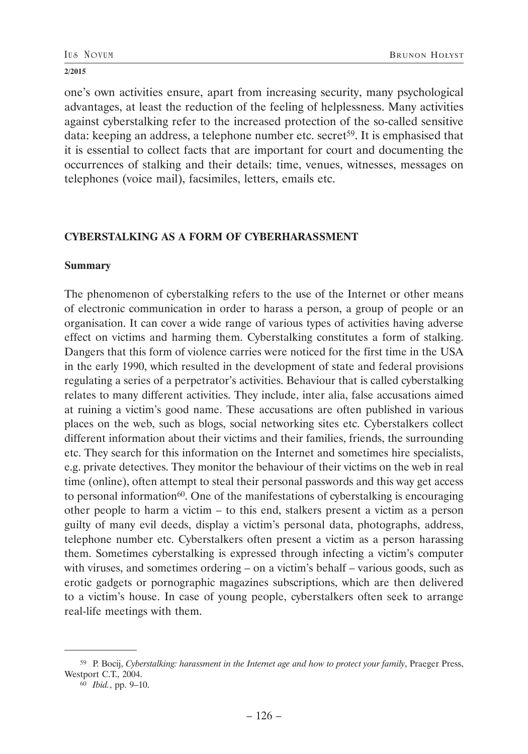one's own activities ensure, apart from increasing security, many psychological advantages, at least the reduction of the feeling of helplessness. Many activities against cyberstalking refer to the increased protection of the so-called sensitive data: keeping an address, a telephone number etc. secret<sup>59</sup>. It is emphasised that it is essential to collect facts that are important for court and documenting the occurrences of stalking and their details: time, venues, witnesses, messages on telephones (voice mail), facsimiles, letters, emails etc.

## **CYBERSTALKING AS A FORM OF CYBERHARASSMENT**

### **Summary**

The phenomenon of cyberstalking refers to the use of the Internet or other means of electronic communication in order to harass a person, a group of people or an organisation. It can cover a wide range of various types of activities having adverse effect on victims and harming them. Cyberstalking constitutes a form of stalking. Dangers that this form of violence carries were noticed for the first time in the USA in the early 1990, which resulted in the development of state and federal provisions regulating a series of a perpetrator's activities. Behaviour that is called cyberstalking relates to many different activities. They include, inter alia, false accusations aimed at ruining a victim's good name. These accusations are often published in various places on the web, such as blogs, social networking sites etc. Cyberstalkers collect different information about their victims and their families, friends, the surrounding etc. They search for this information on the Internet and sometimes hire specialists, e.g. private detectives. They monitor the behaviour of their victims on the web in real time (online), often attempt to steal their personal passwords and this way get access to personal information<sup>60</sup>. One of the manifestations of cyberstalking is encouraging other people to harm a victim – to this end, stalkers present a victim as a person guilty of many evil deeds, display a victim's personal data, photographs, address, telephone number etc. Cyberstalkers often present a victim as a person harassing them. Sometimes cyberstalking is expressed through infecting a victim's computer with viruses, and sometimes ordering – on a victim's behalf – various goods, such as erotic gadgets or pornographic magazines subscriptions, which are then delivered to a victim's house. In case of young people, cyberstalkers often seek to arrange real-life meetings with them.

<sup>59</sup> P. Bocij, *Cyberstalking: harassment in the Internet age and how to protect your family*, Praeger Press, Westport C.T., 2004.

<sup>60</sup> *Ibid.*, pp. 9–10.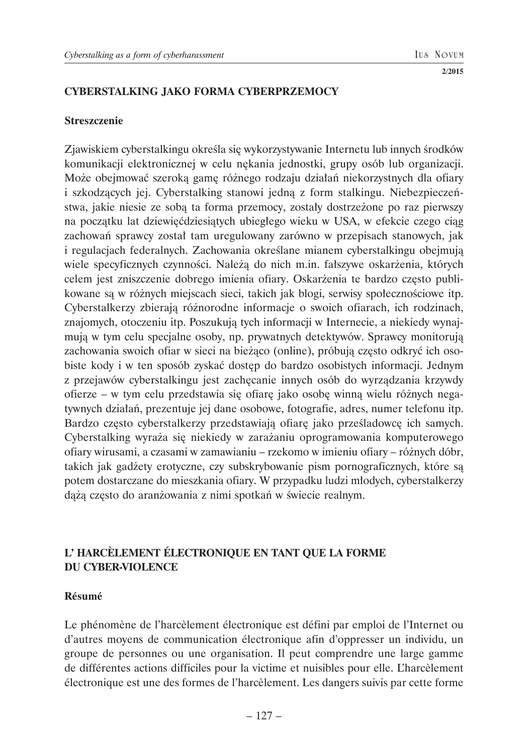## **CYBERSTALKING JAKO FORMA CYBERPRZEMOCY**

### **Streszczenie**

Zjawiskiem cyberstalkingu określa się wykorzystywanie Internetu lub innych środków komunikacji elektronicznej w celu nękania jednostki, grupy osób lub organizacji. Może obejmować szeroką gamę różnego rodzaju działań niekorzystnych dla ofiary i szkodzących jej. Cyberstalking stanowi jedną z form stalkingu. Niebezpieczeństwa, jakie niesie ze sobą ta forma przemocy, zostały dostrzeżone po raz pierwszy na początku lat dziewięćdziesiątych ubiegłego wieku w USA, w efekcie czego ciąg zachowań sprawcy został tam uregulowany zarówno w przepisach stanowych, jak i regulacjach federalnych. Zachowania określane mianem cyberstalkingu obejmują wiele specyficznych czynności. Należą do nich m.in. fałszywe oskarżenia, których celem jest zniszczenie dobrego imienia ofiary. Oskarżenia te bardzo często publikowane są w różnych miejscach sieci, takich jak blogi, serwisy społecznościowe itp. Cyberstalkerzy zbierają różnorodne informacje o swoich ofiarach, ich rodzinach, znajomych, otoczeniu itp. Poszukują tych informacji w Internecie, a niekiedy wynajmują w tym celu specjalne osoby, np. prywatnych detektywów. Sprawcy monitorują zachowania swoich ofiar w sieci na bieżąco (online), próbują często odkryć ich osobiste kody i w ten sposób zyskać dostęp do bardzo osobistych informacji. Jednym z przejawów cyberstalkingu jest zachęcanie innych osób do wyrządzania krzywdy ofierze – w tym celu przedstawia się ofiarę jako osobę winną wielu różnych negatywnych działań, prezentuje jej dane osobowe, fotografie, adres, numer telefonu itp. Bardzo często cyberstalkerzy przedstawiają ofiarę jako prześladowcę ich samych. Cyberstalking wyraża się niekiedy w zarażaniu oprogramowania komputerowego ofiary wirusami, a czasami w zamawianiu – rzekomo w imieniu ofiary – różnych dóbr, takich jak gadżety erotyczne, czy subskrybowanie pism pornograficznych, które są potem dostarczane do mieszkania ofiary. W przypadku ludzi młodych, cyberstalkerzy dążą często do aranżowania z nimi spotkań w świecie realnym.

# **L' HARCÈLEMENT ÉLECTRONIQUE EN TANT QUE LA FORME DU CYBER-VIOLENCE**

## **Résumé**

Le phénomène de l'harcèlement électronique est défini par emploi de l'Internet ou d'autres moyens de communication électronique afin d'oppresser un individu, un groupe de personnes ou une organisation. Il peut comprendre une large gamme de différentes actions difficiles pour la victime et nuisibles pour elle. L'harcèlement électronique est une des formes de l'harcèlement. Les dangers suivis par cette forme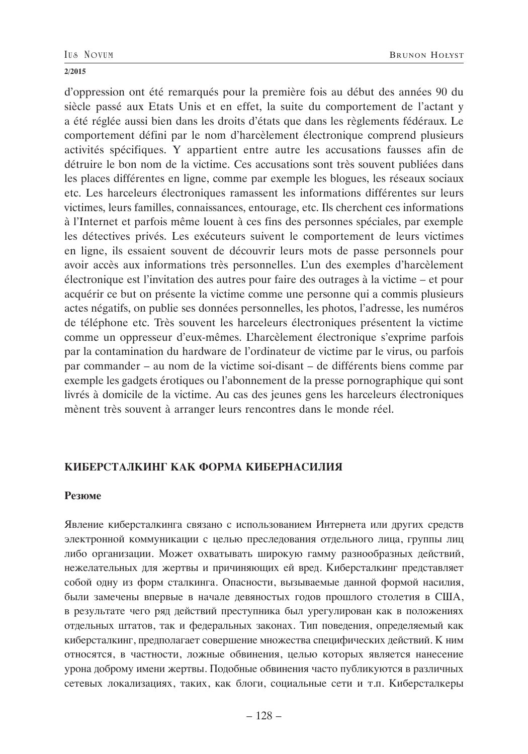d'oppression ont été remarqués pour la première fois au début des années 90 du siècle passé aux Etats Unis et en effet, la suite du comportement de l'actant y a été réglée aussi bien dans les droits d'états que dans les règlements fédéraux. Le comportement défini par le nom d'harcèlement électronique comprend plusieurs activités spécifiques. Y appartient entre autre les accusations fausses afin de détruire le bon nom de la victime. Ces accusations sont très souvent publiées dans les places différentes en ligne, comme par exemple les blogues, les réseaux sociaux etc. Les harceleurs électroniques ramassent les informations différentes sur leurs victimes, leurs familles, connaissances, entourage, etc. Ils cherchent ces informations à l'Internet et parfois même louent à ces fins des personnes spéciales, par exemple les détectives privés. Les exécuteurs suivent le comportement de leurs victimes en ligne, ils essaient souvent de découvrir leurs mots de passe personnels pour avoir accès aux informations très personnelles. L'un des exemples d'harcèlement électronique est l'invitation des autres pour faire des outrages à la victime – et pour acquérir ce but on présente la victime comme une personne qui a commis plusieurs actes négatifs, on publie ses données personnelles, les photos, l'adresse, les numéros de téléphone etc. Très souvent les harceleurs électroniques présentent la victime comme un oppresseur d'eux-mêmes. L'harcèlement électronique s'exprime parfois par la contamination du hardware de l'ordinateur de victime par le virus, ou parfois par commander – au nom de la victime soi-disant – de différents biens comme par exemple les gadgets érotiques ou l'abonnement de la presse pornographique qui sont livrés à domicile de la victime. Au cas des jeunes gens les harceleurs électroniques mènent très souvent à arranger leurs rencontres dans le monde réel.

## **КИБЕРСТАЛКИНГ КАК ФОРМА КИБЕРНАСИЛИЯ**

### **Резюме**

Явление киберсталкинга связано с использованием Интернета или других средств электронной коммуникации с целью преследования отдельного лица, группы лиц либо организации. Может охватывать широкую гамму разнообразных действий, нежелательных для жертвы и причиняющих ей вред. Киберсталкинг представляет собой одну из форм сталкинга. Опасности, вызываемые данной формой насилия, были замечены впервые в начале девяностых годов прошлого столетия в США, в результате чего ряд действий преступника был урегулирован как в положениях отдельных штатов, так и федеральных законах. Тип поведения, определяемый как киберсталкинг, предполагает совершение множества специфических действий. К ним относятся, в частности, ложные обвинения, целью которых является нанесение урона доброму имени жертвы. Подобные обвинения часто публикуются в различных сетевых локализациях, таких, как блоги, социальные сети и т.п. Киберсталкеры